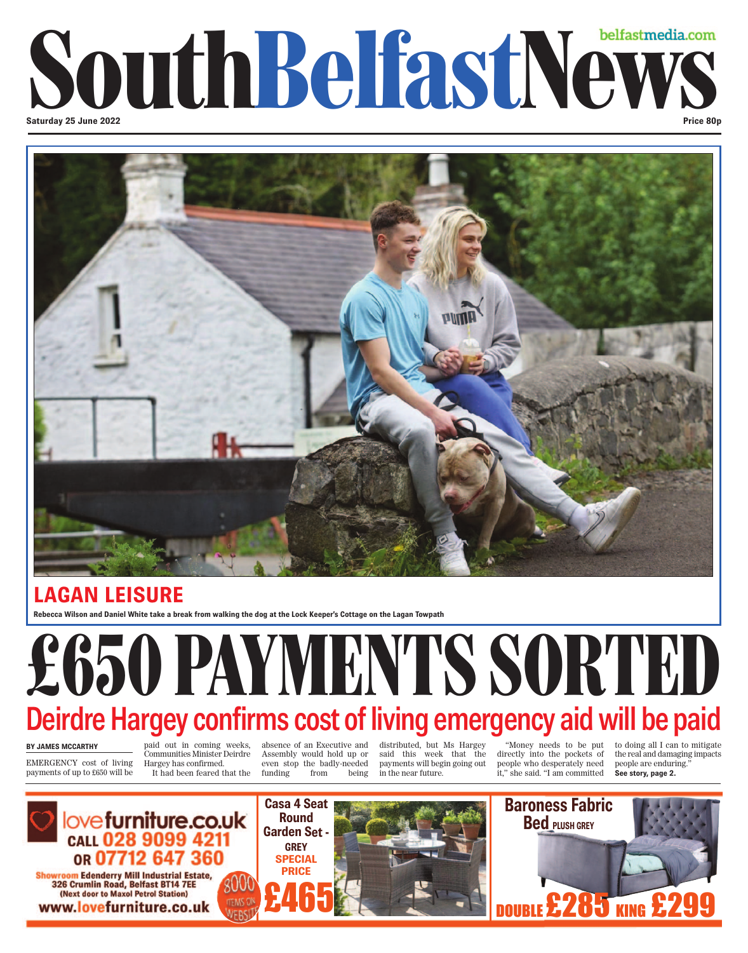### **Saturday 25 June 2022** South Belfastmedia.com **Price 80p**



### **LAGAN LEISURE**

**Rebecca Wilson and Daniel White take a break from walking the dog at the Lock Keeper's Cottage on the Lagan Towpath**

# £650 PAYMENTS SORTED Deirdre Hargey confirms cost of living emergency aid will be paid

#### **BY JAMES MCCARTHY**

EMERGENCY cost of living payments of up to £650 will be

paid out in coming weeks, Communities Minister Deirdre Hargey has confirmed. It had been feared that the

absence of an Executive and Assembly would hold up or even stop the badly-needed funding from being

distributed, but Ms Hargey said this week that the payments will begin going out in the near future.

"Money needs to be put directly into the pockets of people who desperately need it," she said. "I am committed

to doing all I can to mitigate the real and damaging impacts people are enduring." **See story, page 2.**